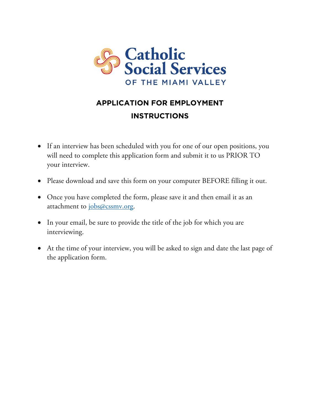

# **APPLICATION FOR EMPLOYMENT INSTRUCTIONS**

- If an interview has been scheduled with you for one of our open positions, you will need to complete this application form and submit it to us PRIOR TO your interview.
- Please download and save this form on your computer BEFORE filling it out.
- Once you have completed the form, please save it and then email it as an attachment to [jobs@cssmv.org.](mailto:jobs@cssmv.org)
- In your email, be sure to provide the title of the job for which you are interviewing.
- At the time of your interview, you will be asked to sign and date the last page of the application form.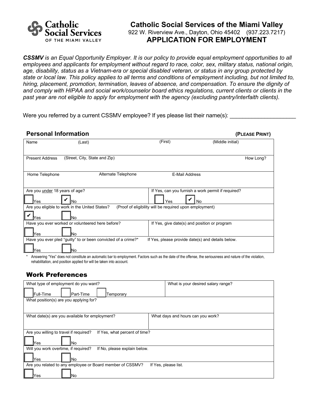

### **Catholic Social Services of the Miami Valley** 922 W. Riverview Ave., Dayton, Ohio 45402 (937.223.7217) **APPLICATION FOR EMPLOYMENT**

*CSSMV is an Equal Opportunity Employer. It is our policy to provide equal employment opportunities to all employees and applicants for employment without regard to race, color, sex, military status, national origin, age, disability, status as a Vietnam-era or special disabled veteran, or status in any group protected by state or local law. This policy applies to all terms and conditions of employment including, but not limited to, hiring, placement, promotion, termination, leaves of absence, and compensation*. *To ensure the dignity of and comply with HIPAA and social work/counselor board ethics regulations, current clients or clients in the past year are not eligible to apply for employment with the agency (excluding pantry/interfaith clients).* 

Were you referred by a current CSSMV employee? If yes please list their name(s):

| <b>Personal Information</b>            |                                                                     |                                                         | (PLEASE PRINT)                                           |
|----------------------------------------|---------------------------------------------------------------------|---------------------------------------------------------|----------------------------------------------------------|
| Name                                   | (Last)                                                              | (First)                                                 | (Middle initial)                                         |
| <b>Present Address</b>                 | (Street, City, State and Zip)                                       |                                                         | How Long?                                                |
| Home Telephone                         | Alternate Telephone                                                 | <b>E-Mail Address</b>                                   |                                                          |
| Are you under 18 years of age?<br>lYes | No                                                                  | Yes                                                     | If Yes, can you furnish a work permit if required?<br>No |
|                                        | Are you eligible to work in the United States?                      | (Proof of eligibility will be required upon employment) |                                                          |
| Yes                                    | lΝo<br>Have you ever worked or volunteered here before?             | If Yes, give date(s) and position or program            |                                                          |
| Yes                                    | No                                                                  |                                                         |                                                          |
| Yes                                    | Have you ever pled "guilty" to or been convicted of a crime?*<br>No | If Yes, please provide date(s) and details below.       |                                                          |

Answering "Yes" does not constitute an automatic bar to employment. Factors such as the date of the offense, the seriousness and nature of the violation, rehabilitation, and position applied for will be taken into account.

#### Work Preferences

| What type of employment do you want?                                    | What is your desired salary range? |  |  |
|-------------------------------------------------------------------------|------------------------------------|--|--|
| <b>IFull-Time</b><br>Part-Time<br>Temporary                             |                                    |  |  |
| What position(s) are you applying for?                                  |                                    |  |  |
|                                                                         |                                    |  |  |
| What date(s) are you available for employment?                          | What days and hours can you work?  |  |  |
|                                                                         |                                    |  |  |
| Are you willing to travel if required?<br>If Yes, what percent of time? |                                    |  |  |
| No<br>∕es                                                               |                                    |  |  |
| Will you work overtime, if required?<br>If No, please explain below.    |                                    |  |  |
| lYes.<br>No                                                             |                                    |  |  |
| Are you related to any employee or Board member of CSSMV?               | If Yes, please list.               |  |  |
| Yes<br>No                                                               |                                    |  |  |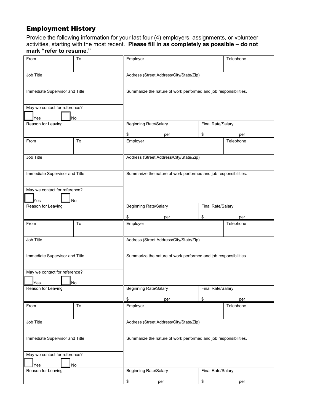# Employment History

Provide the following information for your last four (4) employers, assignments, or volunteer activities, starting with the most recent. **Please fill in as completely as possible – do not mark "refer to resume."**

| From                                 | To | Employer                                                         | Telephone                |  |  |
|--------------------------------------|----|------------------------------------------------------------------|--------------------------|--|--|
| Job Title                            |    | Address (Street Address/City/State/Zip)                          |                          |  |  |
| Immediate Supervisor and Title       |    | Summarize the nature of work performed and job responsibilities. |                          |  |  |
| May we contact for reference?<br>Yes | No |                                                                  |                          |  |  |
| Reason for Leaving                   |    | <b>Beginning Rate/Salary</b>                                     | Final Rate/Salary        |  |  |
|                                      |    | \$<br>per                                                        | \$<br>per                |  |  |
| From                                 | To | Employer                                                         | Telephone                |  |  |
| Job Title                            |    | Address (Street Address/City/State/Zip)                          |                          |  |  |
| Immediate Supervisor and Title       |    | Summarize the nature of work performed and job responsibilities. |                          |  |  |
| May we contact for reference?<br>Yes | No |                                                                  |                          |  |  |
| Reason for Leaving                   |    | <b>Beginning Rate/Salary</b><br>Final Rate/Salary                |                          |  |  |
|                                      |    | \$<br>per                                                        | \$<br>per                |  |  |
|                                      |    |                                                                  |                          |  |  |
| From                                 | To | Employer                                                         | Telephone                |  |  |
| Job Title                            |    | Address (Street Address/City/State/Zip)                          |                          |  |  |
| Immediate Supervisor and Title       |    | Summarize the nature of work performed and job responsibilities. |                          |  |  |
| May we contact for reference?        |    |                                                                  |                          |  |  |
| Yes<br>Reason for Leaving            | No | Beginning Rate/Salary                                            | <b>Final Rate/Salary</b> |  |  |
|                                      |    | \$<br>per                                                        | \$<br>per                |  |  |
| From                                 | To | Employer                                                         | Telephone                |  |  |
| Job Title                            |    | Address (Street Address/City/State/Zip)                          |                          |  |  |
| Immediate Supervisor and Title       |    | Summarize the nature of work performed and job responsibilities. |                          |  |  |
| May we contact for reference?        |    |                                                                  |                          |  |  |
| Yes<br>Reason for Leaving            | No | <b>Beginning Rate/Salary</b>                                     | Final Rate/Salary        |  |  |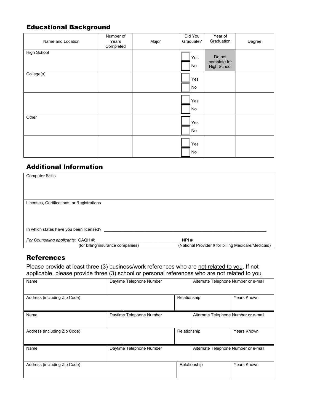# Educational Background

| Name and Location  | Number of<br>Years<br>Completed | Major | Did You<br>Graduate? | Year of<br>Graduation                 | Degree |
|--------------------|---------------------------------|-------|----------------------|---------------------------------------|--------|
| <b>High School</b> |                                 |       | Yes<br>  No          | Do not<br>complete for<br>High School |        |
| College(s)         |                                 |       | Yes<br>No            |                                       |        |
|                    |                                 |       | Yes<br>No            |                                       |        |
| Other              |                                 |       | Yes<br>No            |                                       |        |
|                    |                                 |       | Yes<br>No            |                                       |        |

## Additional Information

| <b>Computer Skills</b>                     |                                   |                                                     |
|--------------------------------------------|-----------------------------------|-----------------------------------------------------|
|                                            |                                   |                                                     |
|                                            |                                   |                                                     |
| Licenses, Certifications, or Registrations |                                   |                                                     |
|                                            |                                   |                                                     |
|                                            |                                   |                                                     |
| In which states have you been licensed?    |                                   |                                                     |
| For Counseling applicants: CAQH #:         |                                   | NPI#                                                |
|                                            | (for billing insurance companies) | (National Provider # for billing Medicare/Medicaid) |

# **References**

Please provide at least three (3) business/work references who are not related to you. If not applicable, please provide three (3) school or personal references who are not related to you.

| . .                              | $\sqrt{ }$               |              |                                      |                                      |  |
|----------------------------------|--------------------------|--------------|--------------------------------------|--------------------------------------|--|
| Daytime Telephone Number<br>Name |                          |              |                                      | Alternate Telephone Number or e-mail |  |
| Address (including Zip Code)     |                          | Relationship |                                      | Years Known                          |  |
| Name                             | Daytime Telephone Number |              | Alternate Telephone Number or e-mail |                                      |  |
| Address (including Zip Code)     |                          | Relationship |                                      | Years Known                          |  |
| Name                             | Daytime Telephone Number |              | Alternate Telephone Number or e-mail |                                      |  |
| Address (including Zip Code)     |                          |              | Relationship                         | Years Known                          |  |